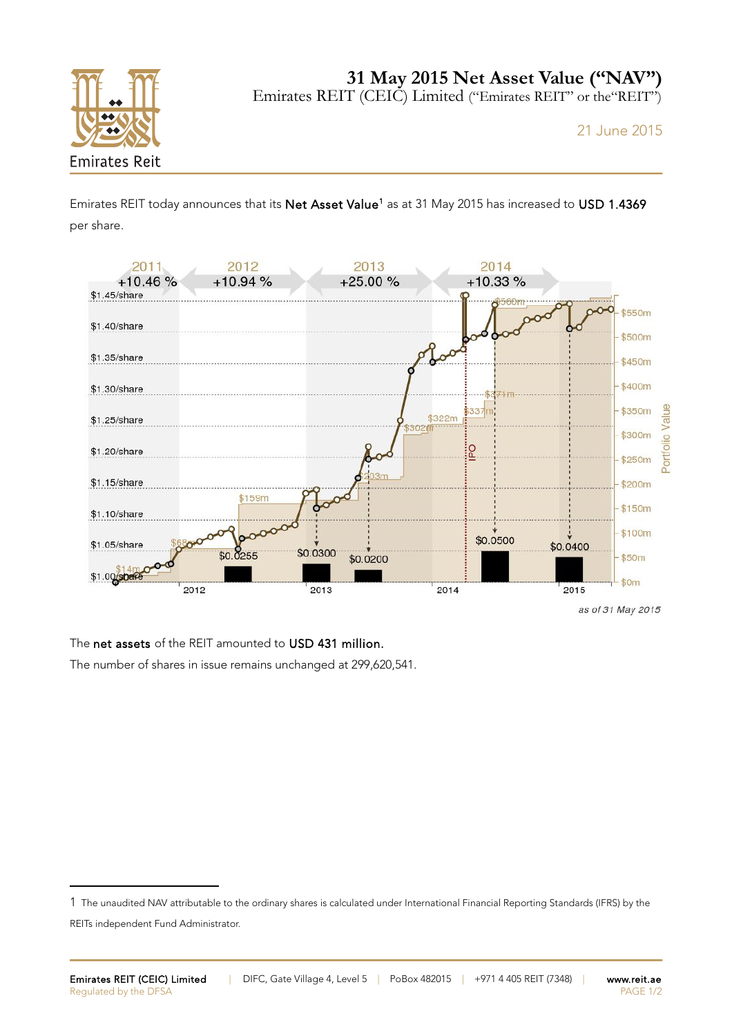

**31 May 2015 Net Asset Value ("NAV")**

Emirates REIT (CEIC) Limited ("Emirates REIT" or the"REIT")

21 June 2015

Emirates REIT today announces that its Net Asset Value<sup>[1](#page-0-0)</sup> as at 31 May 2015 has increased to USD 1.4369 per share.



The net assets of the REIT amounted to USD 431 million.

The number of shares in issue remains unchanged at 299,620,541.

<span id="page-0-0"></span><sup>1</sup> The unaudited NAV attributable to the ordinary shares is calculated under International Financial Reporting Standards (IFRS) by the

REITs independent Fund Administrator.